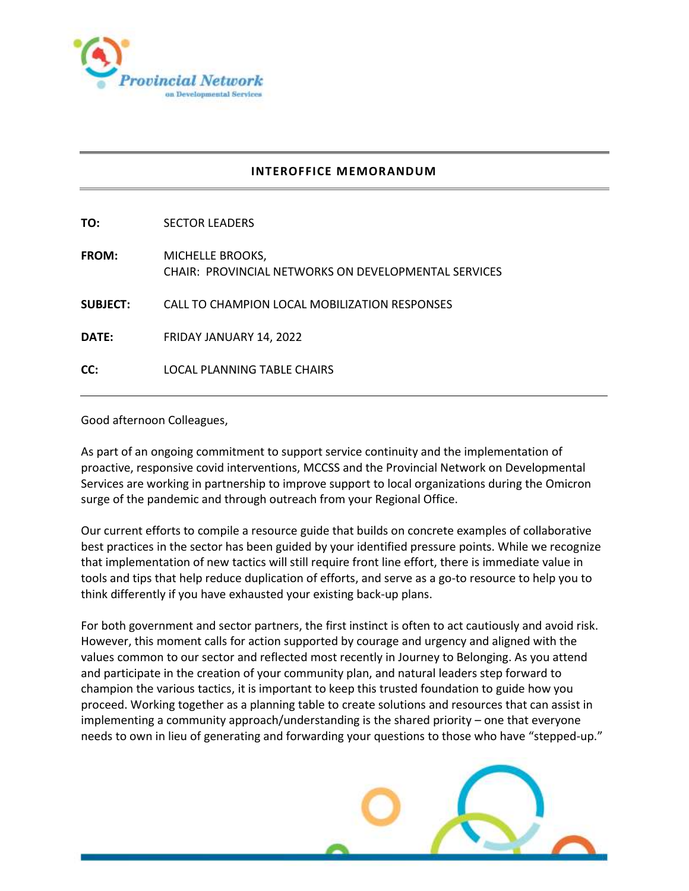

## **INTEROFFICE MEMORANDUM**

**TO:** SECTOR LEADERS **FROM:** MICHELLE BROOKS, CHAIR: PROVINCIAL NETWORKS ON DEVELOPMENTAL SERVICES **SUBJECT:** CALL TO CHAMPION LOCAL MOBILIZATION RESPONSES **DATE:** FRIDAY JANUARY 14, 2022 **CC:** LOCAL PLANNING TABLE CHAIRS

Good afternoon Colleagues,

As part of an ongoing commitment to support service continuity and the implementation of proactive, responsive covid interventions, MCCSS and the Provincial Network on Developmental Services are working in partnership to improve support to local organizations during the Omicron surge of the pandemic and through outreach from your Regional Office.

Our current efforts to compile a resource guide that builds on concrete examples of collaborative best practices in the sector has been guided by your identified pressure points. While we recognize that implementation of new tactics will still require front line effort, there is immediate value in tools and tips that help reduce duplication of efforts, and serve as a go-to resource to help you to think differently if you have exhausted your existing back-up plans.

For both government and sector partners, the first instinct is often to act cautiously and avoid risk. However, this moment calls for action supported by courage and urgency and aligned with the values common to our sector and reflected most recently in Journey to Belonging. As you attend and participate in the creation of your community plan, and natural leaders step forward to champion the various tactics, it is important to keep this trusted foundation to guide how you proceed. Working together as a planning table to create solutions and resources that can assist in implementing a community approach/understanding is the shared priority – one that everyone needs to own in lieu of generating and forwarding your questions to those who have "stepped-up."

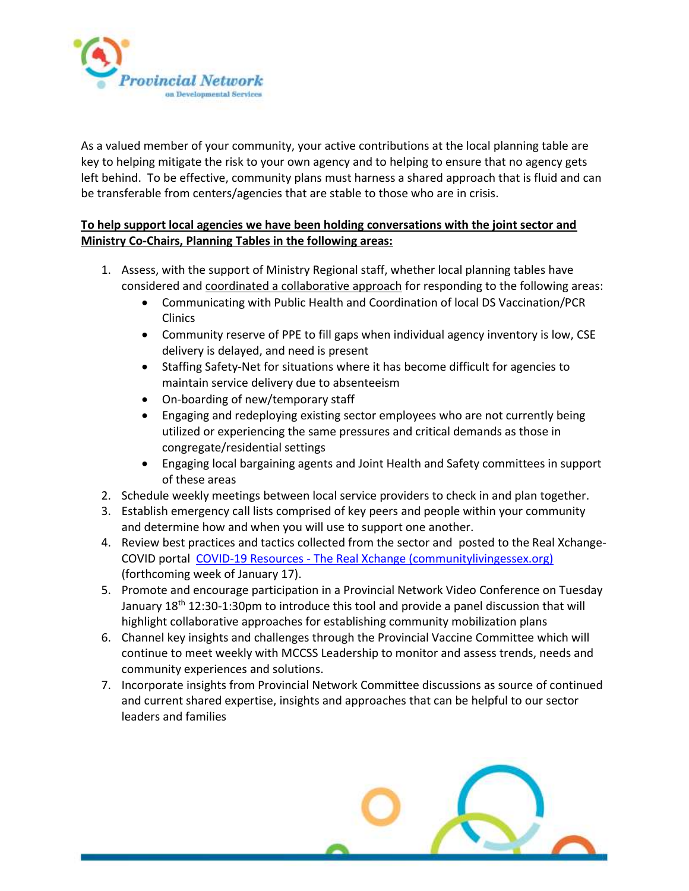

As a valued member of your community, your active contributions at the local planning table are key to helping mitigate the risk to your own agency and to helping to ensure that no agency gets left behind. To be effective, community plans must harness a shared approach that is fluid and can be transferable from centers/agencies that are stable to those who are in crisis.

## **To help support local agencies we have been holding conversations with the joint sector and Ministry Co-Chairs, Planning Tables in the following areas:**

- 1. Assess, with the support of Ministry Regional staff, whether local planning tables have considered and coordinated a collaborative approach for responding to the following areas:
	- Communicating with Public Health and Coordination of local DS Vaccination/PCR Clinics
	- Community reserve of PPE to fill gaps when individual agency inventory is low, CSE delivery is delayed, and need is present
	- Staffing Safety-Net for situations where it has become difficult for agencies to maintain service delivery due to absenteeism
	- On-boarding of new/temporary staff
	- Engaging and redeploying existing sector employees who are not currently being utilized or experiencing the same pressures and critical demands as those in congregate/residential settings
	- Engaging local bargaining agents and Joint Health and Safety committees in support of these areas
- 2. Schedule weekly meetings between local service providers to check in and plan together.
- 3. Establish emergency call lists comprised of key peers and people within your community and determine how and when you will use to support one another.
- 4. Review best practices and tactics collected from the sector and posted to the Real Xchange-COVID portal COVID-19 Resources - [The Real Xchange \(communitylivingessex.org\)](https://realxchange.communitylivingessex.org/covid-19-resources/) (forthcoming week of January 17).
- 5. Promote and encourage participation in a Provincial Network Video Conference on Tuesday January 18<sup>th</sup> 12:30-1:30pm to introduce this tool and provide a panel discussion that will highlight collaborative approaches for establishing community mobilization plans
- 6. Channel key insights and challenges through the Provincial Vaccine Committee which will continue to meet weekly with MCCSS Leadership to monitor and assess trends, needs and community experiences and solutions.
- 7. Incorporate insights from Provincial Network Committee discussions as source of continued and current shared expertise, insights and approaches that can be helpful to our sector leaders and families